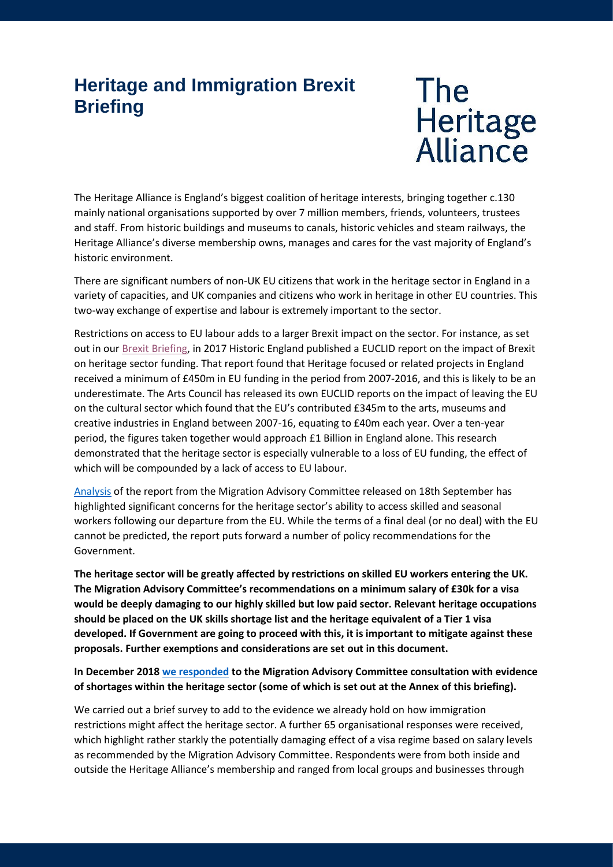# **Heritage and Immigration Brexit Briefing**

**The** Heritage<br>Alliance

The Heritage Alliance is England's biggest coalition of heritage interests, bringing together c.130 mainly national organisations supported by over 7 million members, friends, volunteers, trustees and staff. From historic buildings and museums to canals, historic vehicles and steam railways, the Heritage Alliance's diverse membership owns, manages and cares for the vast majority of England's historic environment.

There are significant numbers of non-UK EU citizens that work in the heritage sector in England in a variety of capacities, and UK companies and citizens who work in heritage in other EU countries. This two-way exchange of expertise and labour is extremely important to the sector.

Restrictions on access to EU labour adds to a larger Brexit impact on the sector. For instance, as set out in ou[r Brexit Briefing,](https://www.theheritagealliance.org.uk/tha-website/wp-content/uploads/2018/10/White-Paper-and-MAC-proposal-analysis..pdf) in 2017 Historic England published a EUCLID report on the impact of Brexit on heritage sector funding. That report found that Heritage focused or related projects in England received a minimum of £450m in EU funding in the period from 2007-2016, and this is likely to be an underestimate. The Arts Council has released its own EUCLID reports on the impact of leaving the EU on the cultural sector which found that the EU's contributed £345m to the arts, museums and creative industries in England between 2007-16, equating to £40m each year. Over a ten-year period, the figures taken together would approach £1 Billion in England alone. This research demonstrated that the heritage sector is especially vulnerable to a loss of EU funding, the effect of which will be compounded by a lack of access to EU labour.

[Analysis](https://www.theheritagealliance.org.uk/tha-website/wp-content/uploads/2018/10/White-Paper-and-MAC-proposal-analysis..pdf) of the report from the Migration Advisory Committee released on 18th September has highlighted significant concerns for the heritage sector's ability to access skilled and seasonal workers following our departure from the EU. While the terms of a final deal (or no deal) with the EU cannot be predicted, the report puts forward a number of policy recommendations for the Government.

**The heritage sector will be greatly affected by restrictions on skilled EU workers entering the UK. The Migration Advisory Committee's recommendations on a minimum salary of £30k for a visa would be deeply damaging to our highly skilled but low paid sector. Relevant heritage occupations should be placed on the UK skills shortage list and the heritage equivalent of a Tier 1 visa developed. If Government are going to proceed with this, it is important to mitigate against these proposals. Further exemptions and considerations are set out in this document.** 

**In December 201[8 we responded](https://www.theheritagealliance.org.uk/tha-website/wp-content/uploads/2019/04/MAC-consultation-Shortage-Occupation-List-Annex-B.pdf) to the Migration Advisory Committee consultation with evidence of shortages within the heritage sector (some of which is set out at the Annex of this briefing).**

We carried out a brief survey to add to the evidence we already hold on how immigration restrictions might affect the heritage sector. A further 65 organisational responses were received, which highlight rather starkly the potentially damaging effect of a visa regime based on salary levels as recommended by the Migration Advisory Committee. Respondents were from both inside and outside the Heritage Alliance's membership and ranged from local groups and businesses through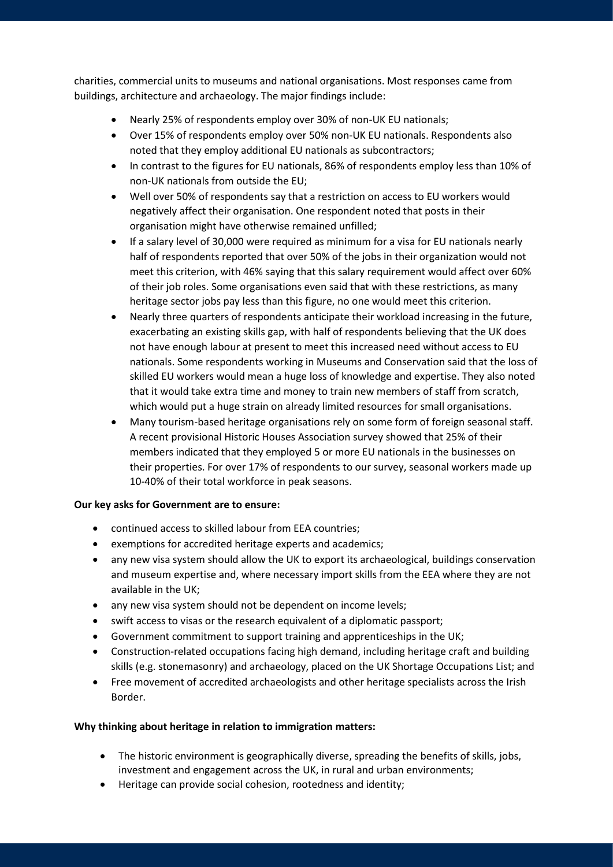charities, commercial units to museums and national organisations. Most responses came from buildings, architecture and archaeology. The major findings include:

- Nearly 25% of respondents employ over 30% of non-UK EU nationals;
- Over 15% of respondents employ over 50% non-UK EU nationals. Respondents also noted that they employ additional EU nationals as subcontractors;
- In contrast to the figures for EU nationals, 86% of respondents employ less than 10% of non-UK nationals from outside the EU;
- Well over 50% of respondents say that a restriction on access to EU workers would negatively affect their organisation. One respondent noted that posts in their organisation might have otherwise remained unfilled;
- If a salary level of 30,000 were required as minimum for a visa for EU nationals nearly half of respondents reported that over 50% of the jobs in their organization would not meet this criterion, with 46% saying that this salary requirement would affect over 60% of their job roles. Some organisations even said that with these restrictions, as many heritage sector jobs pay less than this figure, no one would meet this criterion.
- Nearly three quarters of respondents anticipate their workload increasing in the future, exacerbating an existing skills gap, with half of respondents believing that the UK does not have enough labour at present to meet this increased need without access to EU nationals. Some respondents working in Museums and Conservation said that the loss of skilled EU workers would mean a huge loss of knowledge and expertise. They also noted that it would take extra time and money to train new members of staff from scratch, which would put a huge strain on already limited resources for small organisations.
- Many tourism-based heritage organisations rely on some form of foreign seasonal staff. A recent provisional Historic Houses Association survey showed that 25% of their members indicated that they employed 5 or more EU nationals in the businesses on their properties. For over 17% of respondents to our survey, seasonal workers made up 10-40% of their total workforce in peak seasons.

## **Our key asks for Government are to ensure:**

- continued access to skilled labour from EEA countries;
- exemptions for accredited heritage experts and academics;
- any new visa system should allow the UK to export its archaeological, buildings conservation and museum expertise and, where necessary import skills from the EEA where they are not available in the UK;
- any new visa system should not be dependent on income levels;
- swift access to visas or the research equivalent of a diplomatic passport;
- Government commitment to support training and apprenticeships in the UK;
- Construction-related occupations facing high demand, including heritage craft and building skills (e.g. stonemasonry) and archaeology, placed on the UK Shortage Occupations List; and
- Free movement of accredited archaeologists and other heritage specialists across the Irish Border.

## **Why thinking about heritage in relation to immigration matters:**

- The historic environment is geographically diverse, spreading the benefits of skills, jobs, investment and engagement across the UK, in rural and urban environments;
- Heritage can provide social cohesion, rootedness and identity;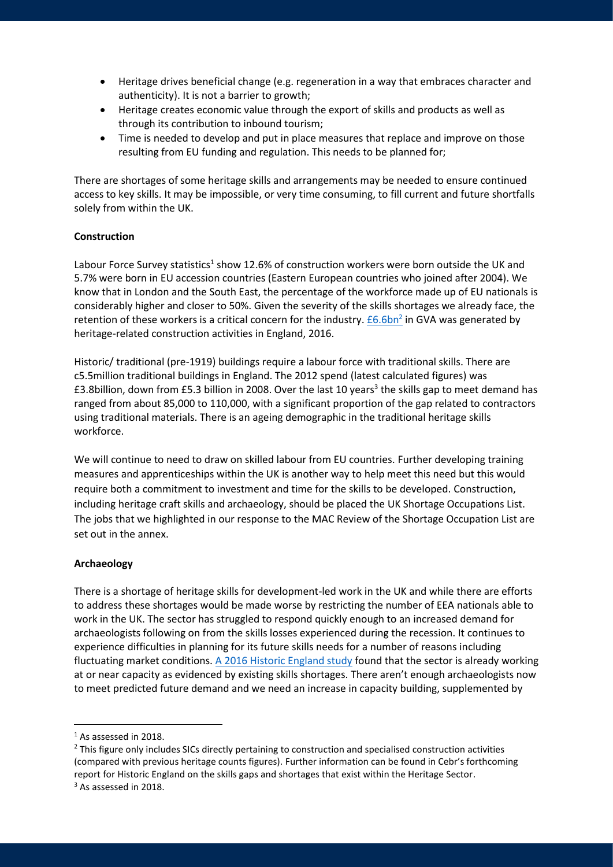- Heritage drives beneficial change (e.g. regeneration in a way that embraces character and authenticity). It is not a barrier to growth;
- Heritage creates economic value through the export of skills and products as well as through its contribution to inbound tourism;
- Time is needed to develop and put in place measures that replace and improve on those resulting from EU funding and regulation. This needs to be planned for;

There are shortages of some heritage skills and arrangements may be needed to ensure continued access to key skills. It may be impossible, or very time consuming, to fill current and future shortfalls solely from within the UK.

## **Construction**

Labour Force Survey statistics<sup>1</sup> show 12.6% of construction workers were born outside the UK and 5.7% were born in EU accession countries (Eastern European countries who joined after 2004). We know that in London and the South East, the percentage of the workforce made up of EU nationals is considerably higher and closer to 50%. Given the severity of the skills shortages we already face, the retention of these workers is a critical concern for the industry. **E6.6bn<sup>2</sup> in GVA was generated by** heritage-related construction activities in England, 2016.

Historic/ traditional (pre-1919) buildings require a labour force with traditional skills. There are c5.5million traditional buildings in England. The 2012 spend (latest calculated figures) was £3.8billion, down from £5.3 billion in 2008. Over the last 10 years<sup>3</sup> the skills gap to meet demand has ranged from about 85,000 to 110,000, with a significant proportion of the gap related to contractors using traditional materials. There is an ageing demographic in the traditional heritage skills workforce.

We will continue to need to draw on skilled labour from EU countries. Further developing training measures and apprenticeships within the UK is another way to help meet this need but this would require both a commitment to investment and time for the skills to be developed. Construction, including heritage craft skills and archaeology, should be placed the UK Shortage Occupations List. The jobs that we highlighted in our response to the MAC Review of the Shortage Occupation List are set out in the annex.

#### **Archaeology**

There is a shortage of heritage skills for development-led work in the UK and while there are efforts to address these shortages would be made worse by restricting the number of EEA nationals able to work in the UK. The sector has struggled to respond quickly enough to an increased demand for archaeologists following on from the skills losses experienced during the recession. It continues to experience difficulties in planning for its future skills needs for a number of reasons including fluctuating market conditions. [A 2016 Historic England study](https://historicengland.org.uk/images-books/publications/national-infrastructure-development-and-capacity-2015-33-assessment/) found that the sector is already working at or near capacity as evidenced by existing skills shortages. There aren't enough archaeologists now to meet predicted future demand and we need an increase in capacity building, supplemented by

**.** 

<sup>1</sup> As assessed in 2018.

<sup>&</sup>lt;sup>2</sup> This figure only includes SICs directly pertaining to construction and specialised construction activities (compared with previous heritage counts figures). Further information can be found in Cebr's forthcoming report for Historic England on the skills gaps and shortages that exist within the Heritage Sector.

<sup>&</sup>lt;sup>3</sup> As assessed in 2018.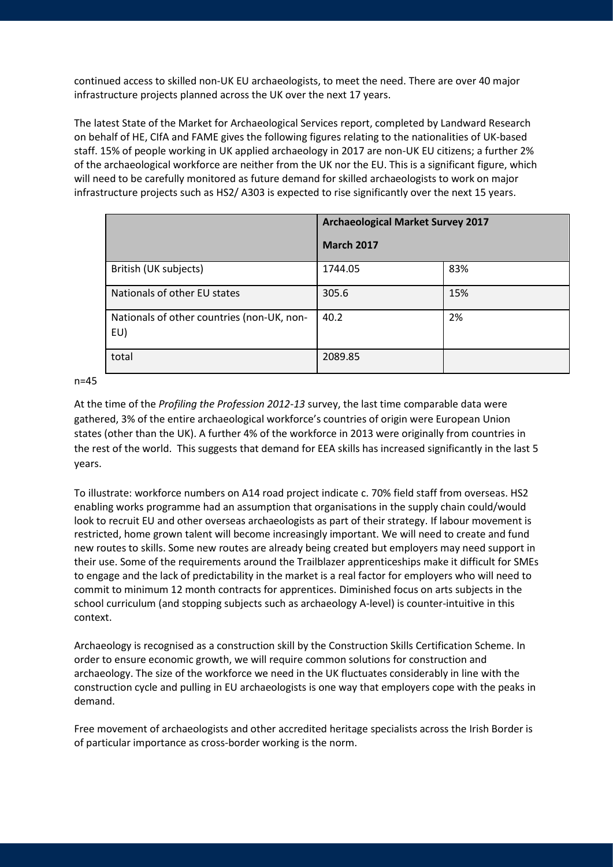continued access to skilled non-UK EU archaeologists, to meet the need. There are over 40 major infrastructure projects planned across the UK over the next 17 years.

The latest State of the Market for Archaeological Services report, completed by Landward Research on behalf of HE, CIfA and FAME gives the following figures relating to the nationalities of UK-based staff. 15% of people working in UK applied archaeology in 2017 are non-UK EU citizens; a further 2% of the archaeological workforce are neither from the UK nor the EU. This is a significant figure, which will need to be carefully monitored as future demand for skilled archaeologists to work on major infrastructure projects such as HS2/ A303 is expected to rise significantly over the next 15 years.

|                                                   | <b>Archaeological Market Survey 2017</b> |     |
|---------------------------------------------------|------------------------------------------|-----|
|                                                   | <b>March 2017</b>                        |     |
| British (UK subjects)                             | 1744.05                                  | 83% |
| Nationals of other EU states                      | 305.6                                    | 15% |
| Nationals of other countries (non-UK, non-<br>EU) | 40.2                                     | 2%  |
| total                                             | 2089.85                                  |     |

n=45

At the time of the *Profiling the Profession 2012-13* survey, the last time comparable data were gathered, 3% of the entire archaeological workforce's countries of origin were European Union states (other than the UK). A further 4% of the workforce in 2013 were originally from countries in the rest of the world. This suggests that demand for EEA skills has increased significantly in the last 5 years.

To illustrate: workforce numbers on A14 road project indicate c. 70% field staff from overseas. HS2 enabling works programme had an assumption that organisations in the supply chain could/would look to recruit EU and other overseas archaeologists as part of their strategy. If labour movement is restricted, home grown talent will become increasingly important. We will need to create and fund new routes to skills. Some new routes are already being created but employers may need support in their use. Some of the requirements around the Trailblazer apprenticeships make it difficult for SMEs to engage and the lack of predictability in the market is a real factor for employers who will need to commit to minimum 12 month contracts for apprentices. Diminished focus on arts subjects in the school curriculum (and stopping subjects such as archaeology A-level) is counter-intuitive in this context.

Archaeology is recognised as a construction skill by the Construction Skills Certification Scheme. In order to ensure economic growth, we will require common solutions for construction and archaeology. The size of the workforce we need in the UK fluctuates considerably in line with the construction cycle and pulling in EU archaeologists is one way that employers cope with the peaks in demand.

Free movement of archaeologists and other accredited heritage specialists across the Irish Border is of particular importance as cross-border working is the norm.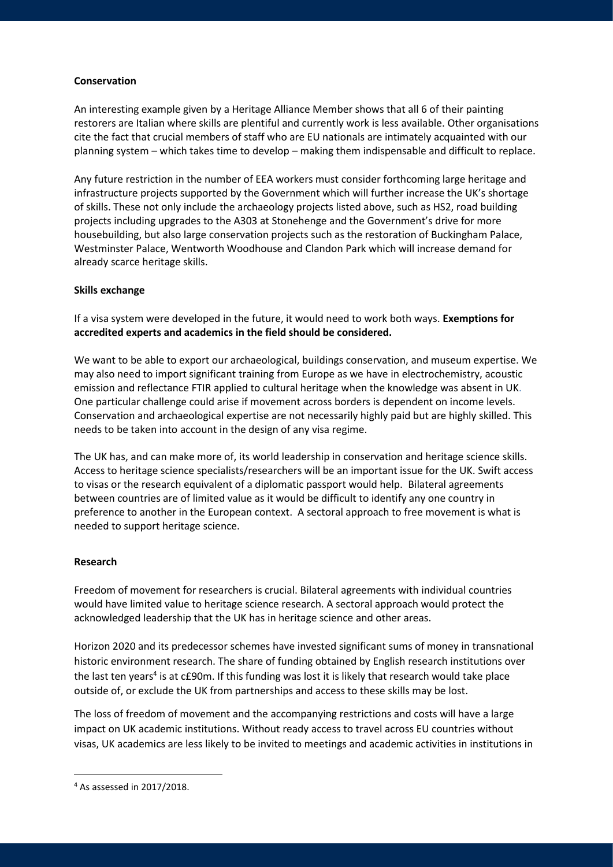#### **Conservation**

An interesting example given by a Heritage Alliance Member shows that all 6 of their painting restorers are Italian where skills are plentiful and currently work is less available. Other organisations cite the fact that crucial members of staff who are EU nationals are intimately acquainted with our planning system – which takes time to develop – making them indispensable and difficult to replace.

Any future restriction in the number of EEA workers must consider forthcoming large heritage and infrastructure projects supported by the Government which will further increase the UK's shortage of skills. These not only include the archaeology projects listed above, such as HS2, road building projects including upgrades to the A303 at Stonehenge and the Government's drive for more housebuilding, but also large conservation projects such as the restoration of Buckingham Palace, Westminster Palace, Wentworth Woodhouse and Clandon Park which will increase demand for already scarce heritage skills.

## **Skills exchange**

If a visa system were developed in the future, it would need to work both ways. **Exemptions for accredited experts and academics in the field should be considered.**

We want to be able to export our archaeological, buildings conservation, and museum expertise. We may also need to import significant training from Europe as we have in electrochemistry, acoustic emission and reflectance FTIR applied to cultural heritage when the knowledge was absent in UK. One particular challenge could arise if movement across borders is dependent on income levels. Conservation and archaeological expertise are not necessarily highly paid but are highly skilled. This needs to be taken into account in the design of any visa regime.

The UK has, and can make more of, its world leadership in conservation and heritage science skills. Access to heritage science specialists/researchers will be an important issue for the UK. Swift access to visas or the research equivalent of a diplomatic passport would help. Bilateral agreements between countries are of limited value as it would be difficult to identify any one country in preference to another in the European context. A sectoral approach to free movement is what is needed to support heritage science.

#### **Research**

Freedom of movement for researchers is crucial. Bilateral agreements with individual countries would have limited value to heritage science research. A sectoral approach would protect the acknowledged leadership that the UK has in heritage science and other areas.

Horizon 2020 and its predecessor schemes have invested significant sums of money in transnational historic environment research. The share of funding obtained by English research institutions over the last ten years<sup>4</sup> is at c£90m. If this funding was lost it is likely that research would take place outside of, or exclude the UK from partnerships and access to these skills may be lost.

The loss of freedom of movement and the accompanying restrictions and costs will have a large impact on UK academic institutions. Without ready access to travel across EU countries without visas, UK academics are less likely to be invited to meetings and academic activities in institutions in

**.** 

<sup>4</sup> As assessed in 2017/2018.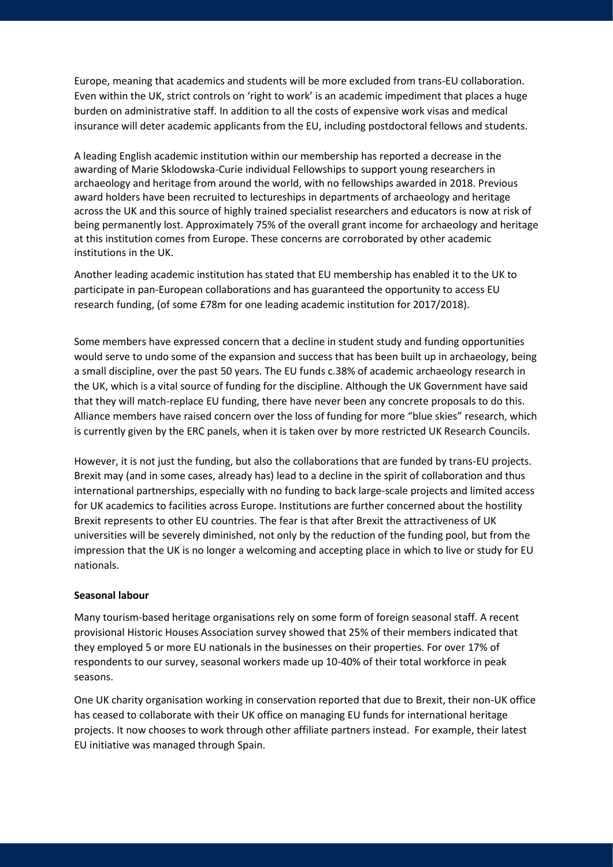Europe, meaning that academics and students will be more excluded from trans-EU collaboration. Even within the UK, strict controls on 'right to work' is an academic impediment that places a huge burden on administrative staff. In addition to all the costs of expensive work visas and medical insurance will deter academic applicants from the EU, including postdoctoral fellows and students.

A leading English academic institution within our membership has reported a decrease in the awarding of Marie Sklodowska-Curie individual Fellowships to support young researchers in archaeology and heritage from around the world, with no fellowships awarded in 2018. Previous award holders have been recruited to lectureships in departments of archaeology and heritage across the UK and this source of highly trained specialist researchers and educators is now at risk of being permanently lost. Approximately 75% of the overall grant income for archaeology and heritage at this institution comes from Europe. These concerns are corroborated by other academic institutions in the UK.

Another leading academic institution has stated that EU membership has enabled it to the UK to participate in pan-European collaborations and has guaranteed the opportunity to access EU research funding, (of some £78m for one leading academic institution for 2017/2018).

Some members have expressed concern that a decline in student study and funding opportunities would serve to undo some of the expansion and success that has been built up in archaeology, being a small discipline, over the past 50 years. The EU funds c.38% of academic archaeology research in the UK, which is a vital source of funding for the discipline. Although the UK Government have said that they will match-replace EU funding, there have never been any concrete proposals to do this. Alliance members have raised concern over the loss of funding for more "blue skies" research, which is currently given by the ERC panels, when it is taken over by more restricted UK Research Councils.

However, it is not just the funding, but also the collaborations that are funded by trans-EU projects. Brexit may (and in some cases, already has) lead to a decline in the spirit of collaboration and thus international partnerships, especially with no funding to back large-scale projects and limited access for UK academics to facilities across Europe. Institutions are further concerned about the hostility Brexit represents to other EU countries. The fear is that after Brexit the attractiveness of UK universities will be severely diminished, not only by the reduction of the funding pool, but from the impression that the UK is no longer a welcoming and accepting place in which to live or study for EU nationals.

#### **Seasonal labour**

Many tourism-based heritage organisations rely on some form of foreign seasonal staff. A recent provisional Historic Houses Association survey showed that 25% of their members indicated that they employed 5 or more EU nationals in the businesses on their properties. For over 17% of respondents to our survey, seasonal workers made up 10-40% of their total workforce in peak seasons.

One UK charity organisation working in conservation reported that due to Brexit, their non-UK office has ceased to collaborate with their UK office on managing EU funds for international heritage projects. It now chooses to work through other affiliate partners instead. For example, their latest EU initiative was managed through Spain.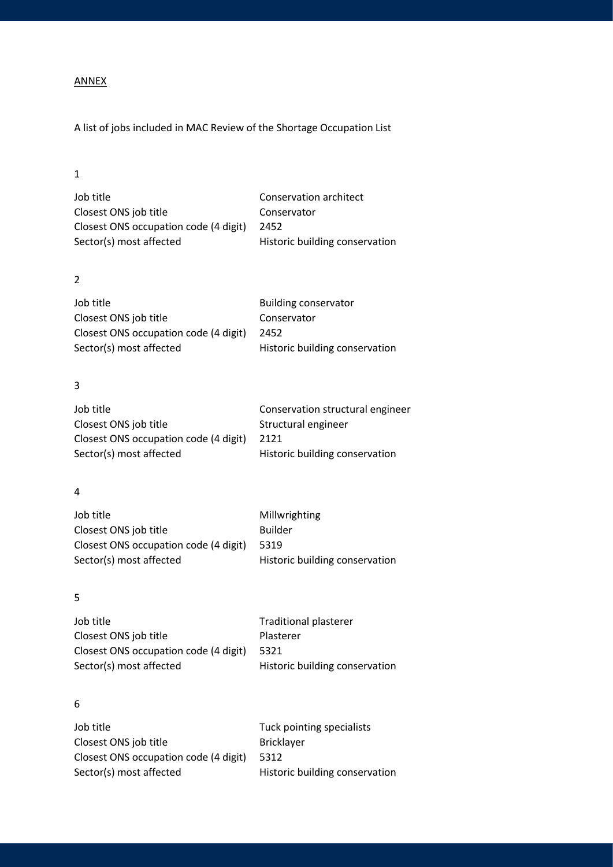## ANNEX

A list of jobs included in MAC Review of the Shortage Occupation List

## 1

| Job title                             | Conservation architect         |
|---------------------------------------|--------------------------------|
| Closest ONS job title                 | Conservator                    |
| Closest ONS occupation code (4 digit) | 2452                           |
| Sector(s) most affected               | Historic building conservation |

## 2

| Job title                             | <b>Building conservator</b>    |
|---------------------------------------|--------------------------------|
| Closest ONS job title                 | Conservator                    |
| Closest ONS occupation code (4 digit) | 2452                           |
| Sector(s) most affected               | Historic building conservation |

## 3

| Job title                             | Conservation structural engineer |
|---------------------------------------|----------------------------------|
| Closest ONS job title                 | Structural engineer              |
| Closest ONS occupation code (4 digit) | 2121                             |
| Sector(s) most affected               | Historic building conservation   |

## 4

| Job title                             | Millwrighting                  |
|---------------------------------------|--------------------------------|
| Closest ONS job title                 | <b>Builder</b>                 |
| Closest ONS occupation code (4 digit) | 5319                           |
| Sector(s) most affected               | Historic building conservation |

# 5

| Job title                             | <b>Traditional plasterer</b>   |
|---------------------------------------|--------------------------------|
| Closest ONS job title                 | Plasterer                      |
| Closest ONS occupation code (4 digit) | 5321                           |
| Sector(s) most affected               | Historic building conservation |

## 6

| Job title                             |
|---------------------------------------|
| Closest ONS job title                 |
| Closest ONS occupation code (4 digit) |
| Sector(s) most affected               |

Tuck pointing specialists Bricklayer 5312 Historic building conservation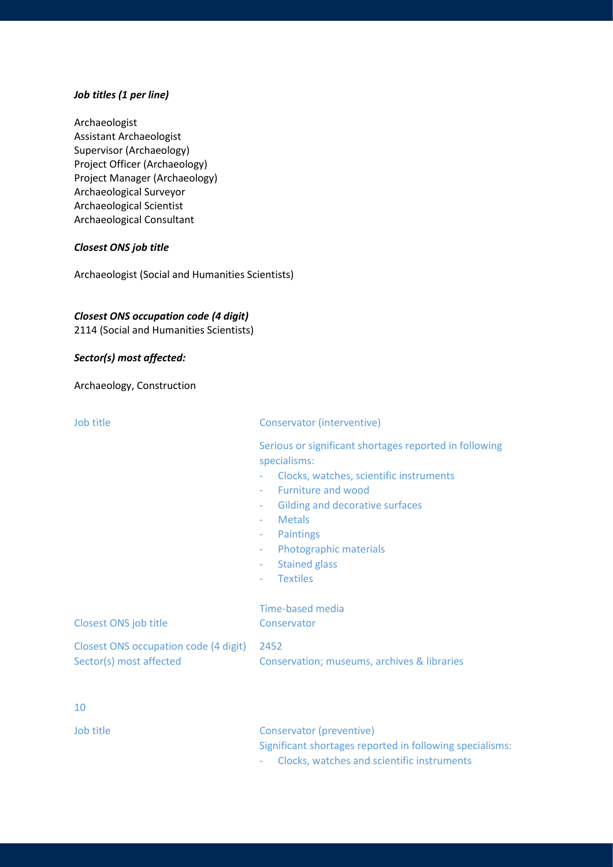#### *Job titles (1 per line)*

Archaeologist Assistant Archaeologist Supervisor (Archaeology) Project Officer (Archaeology) Project Manager (Archaeology) Archaeological Surveyor Archaeological Scientist Archaeological Consultant

#### *Closest ONS job title*

Archaeologist (Social and Humanities Scientists)

## *Closest ONS occupation code (4 digit)*

2114 (Social and Humanities Scientists)

#### *Sector(s) most affected:*

Archaeology, Construction

|  | Job titl |  |
|--|----------|--|
|  |          |  |

## Conservator (interventive)

Serious or significant shortages reported in following specialisms:

- Clocks, watches, scientific instruments
- Furniture and wood
- Gilding and decorative surfaces
- Metals
- Paintings
- Photographic materials
- Stained glass
- Textiles

| Closest ONS job title                                                 | Time-based media<br>Conservator             |
|-----------------------------------------------------------------------|---------------------------------------------|
| Closest ONS occupation code (4 digit) 2452<br>Sector(s) most affected | Conservation; museums, archives & libraries |

|   | ٠   |         |
|---|-----|---------|
| ٠ |     |         |
|   | - 7 | I<br>۰. |
|   |     |         |

Job title Conservator (preventive) Significant shortages reported in following specialisms: - Clocks, watches and scientific instruments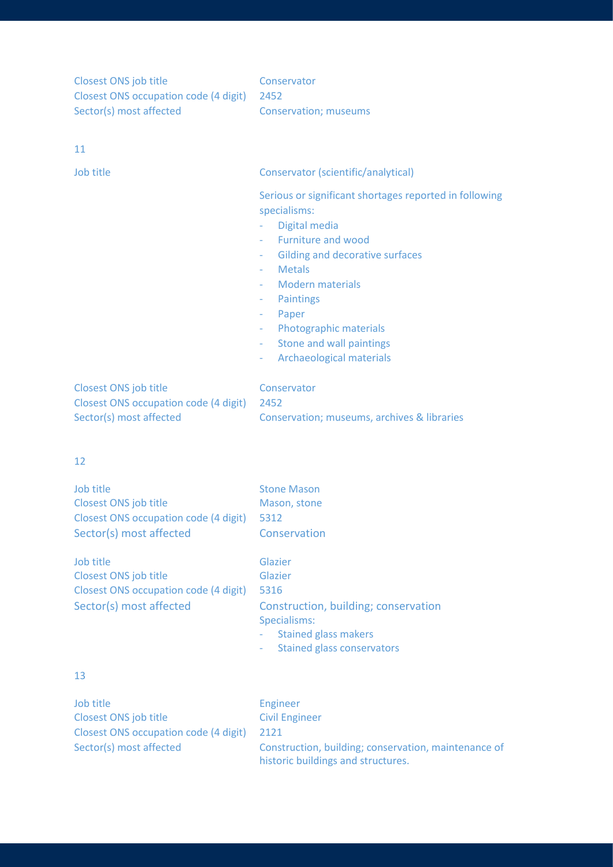| Closest ONS job title                 | Conservator                                                                                                                                                                                                                                                                                                                                                            |
|---------------------------------------|------------------------------------------------------------------------------------------------------------------------------------------------------------------------------------------------------------------------------------------------------------------------------------------------------------------------------------------------------------------------|
| Closest ONS occupation code (4 digit) | 2452                                                                                                                                                                                                                                                                                                                                                                   |
| Sector(s) most affected               | <b>Conservation; museums</b>                                                                                                                                                                                                                                                                                                                                           |
| 11<br>Job title                       | Conservator (scientific/analytical)                                                                                                                                                                                                                                                                                                                                    |
|                                       | Serious or significant shortages reported in following<br>specialisms:<br>Digital media<br>۰<br><b>Furniture and wood</b><br><b>Gilding and decorative surfaces</b><br>÷<br><b>Metals</b><br>÷<br><b>Modern materials</b><br>÷<br>Paintings<br>۰<br>Paper<br>۰<br>Photographic materials<br>۰<br>Stone and wall paintings<br>۰<br><b>Archaeological materials</b><br>۰ |
| Closest ONS job title                 | Conservator                                                                                                                                                                                                                                                                                                                                                            |
| Closest ONS occupation code (4 digit) | 2452                                                                                                                                                                                                                                                                                                                                                                   |
| Sector(s) most affected               | Conservation; museums, archives & libraries                                                                                                                                                                                                                                                                                                                            |

# 12

| Job title                             | <b>Stone Mason</b>                                                                  |
|---------------------------------------|-------------------------------------------------------------------------------------|
| <b>Closest ONS job title</b>          | Mason, stone                                                                        |
| Closest ONS occupation code (4 digit) | 5312                                                                                |
| Sector(s) most affected               | Conservation                                                                        |
| Job title                             | Glazier                                                                             |
| <b>Closest ONS job title</b>          | Glazier                                                                             |
| Closest ONS occupation code (4 digit) | 5316                                                                                |
| Sector(s) most affected               | Construction, building; conservation<br>Specialisms:<br><b>Stained glass makers</b> |
| 13                                    | Stained glass conservators                                                          |
|                                       |                                                                                     |

| <b>Job title</b>                      |
|---------------------------------------|
| Closest ONS job title                 |
| Closest ONS occupation code (4 digit) |
| Sector(s) most affected               |

Engineer Civil Engineer 2121 Sector(s) most affected **Construction, building**; conservation, maintenance of historic buildings and structures.